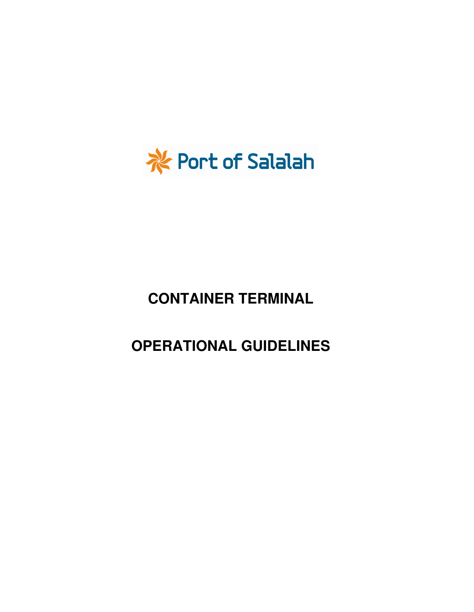

# **CONTAINER TERMINAL**

# **OPERATIONAL GUIDELINES**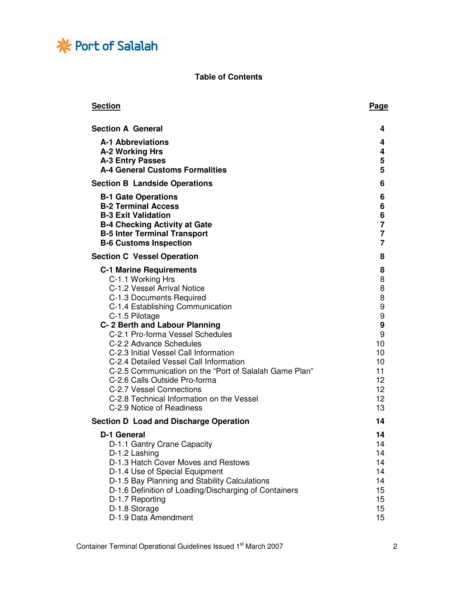

## **Table of Contents**

| <b>Section</b>                                                                                                                                                                                                   | <b>Page</b>                          |
|------------------------------------------------------------------------------------------------------------------------------------------------------------------------------------------------------------------|--------------------------------------|
| <b>Section A General</b>                                                                                                                                                                                         | 4                                    |
| <b>A-1 Abbreviations</b>                                                                                                                                                                                         | 4                                    |
| A-2 Working Hrs                                                                                                                                                                                                  | 4                                    |
| <b>A-3 Entry Passes</b>                                                                                                                                                                                          | 5                                    |
| A-4 General Customs Formalities                                                                                                                                                                                  | 5                                    |
| <b>Section B Landside Operations</b>                                                                                                                                                                             | 6                                    |
| <b>B-1 Gate Operations</b>                                                                                                                                                                                       | 6                                    |
| <b>B-2 Terminal Access</b>                                                                                                                                                                                       | 6                                    |
| <b>B-3 Exit Validation</b>                                                                                                                                                                                       | 6                                    |
| <b>B-4 Checking Activity at Gate</b><br><b>B-5 Inter Terminal Transport</b>                                                                                                                                      | $\overline{7}$<br>$\overline{7}$     |
| <b>B-6 Customs Inspection</b>                                                                                                                                                                                    | $\overline{7}$                       |
| <b>Section C Vessel Operation</b>                                                                                                                                                                                | 8                                    |
| <b>C-1 Marine Requirements</b>                                                                                                                                                                                   | 8                                    |
| C-1.1 Working Hrs                                                                                                                                                                                                | 8                                    |
| C-1.2 Vessel Arrival Notice                                                                                                                                                                                      | 8                                    |
| C-1.3 Documents Required                                                                                                                                                                                         | 8                                    |
| C-1.4 Establishing Communication                                                                                                                                                                                 | 9                                    |
| C-1.5 Pilotage                                                                                                                                                                                                   | 9                                    |
| C-2 Berth and Labour Planning<br>C-2.1 Pro-forma Vessel Schedules                                                                                                                                                | 9<br>9                               |
| C-2.2 Advance Schedules                                                                                                                                                                                          | 10                                   |
| C-2.3 Initial Vessel Call Information                                                                                                                                                                            | 10                                   |
| C-2.4 Detailed Vessel Call Information                                                                                                                                                                           | 10                                   |
| C-2.5 Communication on the "Port of Salalah Game Plan"                                                                                                                                                           | 11                                   |
| C-2.6 Calls Outside Pro-forma                                                                                                                                                                                    | 12                                   |
| C-2.7 Vessel Connections                                                                                                                                                                                         | 12 <sup>2</sup>                      |
| C-2.8 Technical Information on the Vessel<br>C-2.9 Notice of Readiness                                                                                                                                           | 12 <sup>2</sup><br>13                |
| <b>Section D Load and Discharge Operation</b>                                                                                                                                                                    | 14                                   |
|                                                                                                                                                                                                                  | 14                                   |
|                                                                                                                                                                                                                  | 14                                   |
| D-1.2 Lashing                                                                                                                                                                                                    | 14                                   |
| D-1.3 Hatch Cover Moves and Restows                                                                                                                                                                              | 14                                   |
| D-1.4 Use of Special Equipment                                                                                                                                                                                   | 14                                   |
|                                                                                                                                                                                                                  | 14                                   |
|                                                                                                                                                                                                                  | 15                                   |
|                                                                                                                                                                                                                  | 15 <sub>15</sub><br>15 <sub>15</sub> |
|                                                                                                                                                                                                                  | 15                                   |
| D-1 General<br>D-1.1 Gantry Crane Capacity<br>D-1.5 Bay Planning and Stability Calculations<br>D-1.6 Definition of Loading/Discharging of Containers<br>D-1.7 Reporting<br>D-1.8 Storage<br>D-1.9 Data Amendment |                                      |

Container Terminal Operational Guidelines Issued 1<sup>st</sup> March 2007 2007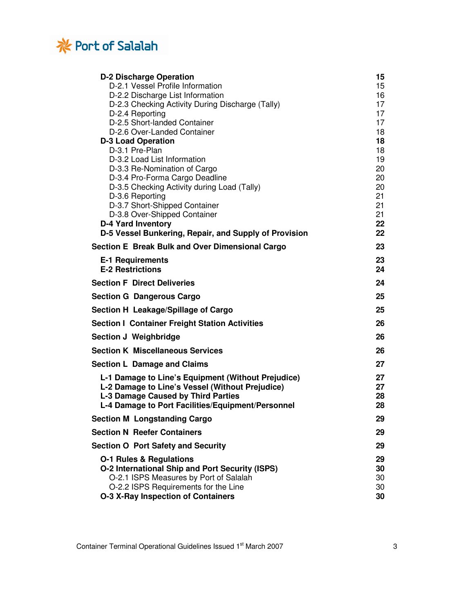

| <b>D-2 Discharge Operation</b>                         | 15       |
|--------------------------------------------------------|----------|
| D-2.1 Vessel Profile Information                       | 15       |
| D-2.2 Discharge List Information                       | 16       |
| D-2.3 Checking Activity During Discharge (Tally)       | 17       |
| D-2.4 Reporting                                        | 17       |
| D-2.5 Short-landed Container                           | 17       |
| D-2.6 Over-Landed Container                            | 18       |
| <b>D-3 Load Operation</b>                              | 18       |
| D-3.1 Pre-Plan<br>D-3.2 Load List Information          | 18<br>19 |
| D-3.3 Re-Nomination of Cargo                           | 20       |
| D-3.4 Pro-Forma Cargo Deadline                         | 20       |
| D-3.5 Checking Activity during Load (Tally)            | 20       |
| D-3.6 Reporting                                        | 21       |
| D-3.7 Short-Shipped Container                          | 21       |
| D-3.8 Over-Shipped Container                           | 21       |
| <b>D-4 Yard Inventory</b>                              | 22       |
| D-5 Vessel Bunkering, Repair, and Supply of Provision  | 22       |
| Section E Break Bulk and Over Dimensional Cargo        | 23       |
| <b>E-1 Requirements</b>                                | 23       |
| <b>E-2 Restrictions</b>                                | 24       |
| <b>Section F Direct Deliveries</b>                     | 24       |
| <b>Section G Dangerous Cargo</b>                       | 25       |
| Section H Leakage/Spillage of Cargo                    | 25       |
| <b>Section I Container Freight Station Activities</b>  | 26       |
| Section J Weighbridge                                  | 26       |
| <b>Section K Miscellaneous Services</b>                | 26       |
| <b>Section L Damage and Claims</b>                     | 27       |
| L-1 Damage to Line's Equipment (Without Prejudice)     | 27       |
| L-2 Damage to Line's Vessel (Without Prejudice)        | 27       |
| L-3 Damage Caused by Third Parties                     | 28       |
| L-4 Damage to Port Facilities/Equipment/Personnel      | 28       |
| <b>Section M Longstanding Cargo</b>                    | 29       |
| <b>Section N Reefer Containers</b>                     | 29       |
| <b>Section O Port Safety and Security</b>              | 29       |
| <b>O-1 Rules &amp; Regulations</b>                     | 29       |
| <b>O-2 International Ship and Port Security (ISPS)</b> | 30       |
| O-2.1 ISPS Measures by Port of Salalah                 | 30       |
| O-2.2 ISPS Requirements for the Line                   | 30       |
| <b>O-3 X-Ray Inspection of Containers</b>              | 30       |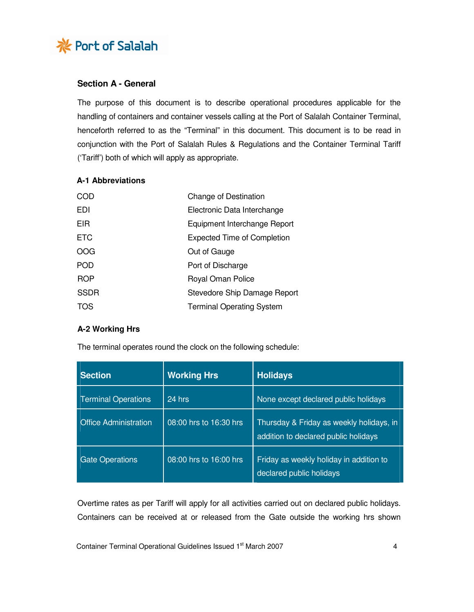

## **Section A - General**

The purpose of this document is to describe operational procedures applicable for the handling of containers and container vessels calling at the Port of Salalah Container Terminal, henceforth referred to as the "Terminal" in this document. This document is to be read in conjunction with the Port of Salalah Rules & Regulations and the Container Terminal Tariff ('Tariff') both of which will apply as appropriate.

#### **A-1 Abbreviations**

| COD         | Change of Destination              |
|-------------|------------------------------------|
| EDI         | Electronic Data Interchange        |
| EIR         | Equipment Interchange Report       |
| <b>ETC</b>  | <b>Expected Time of Completion</b> |
| OOG         | Out of Gauge                       |
| <b>POD</b>  | Port of Discharge                  |
| <b>ROP</b>  | Royal Oman Police                  |
| <b>SSDR</b> | Stevedore Ship Damage Report       |
| TOS         | <b>Terminal Operating System</b>   |

## **A-2 Working Hrs**

The terminal operates round the clock on the following schedule:

| <b>Section</b>               | <b>Working Hrs</b>     | <b>Holidays</b>                                                                  |
|------------------------------|------------------------|----------------------------------------------------------------------------------|
| <b>Terminal Operations</b>   | 24 hrs                 | None except declared public holidays                                             |
| <b>Office Administration</b> | 08:00 hrs to 16:30 hrs | Thursday & Friday as weekly holidays, in<br>addition to declared public holidays |
| <b>Gate Operations</b>       | 08:00 hrs to 16:00 hrs | Friday as weekly holiday in addition to<br>declared public holidays              |

Overtime rates as per Tariff will apply for all activities carried out on declared public holidays. Containers can be received at or released from the Gate outside the working hrs shown

Container Terminal Operational Guidelines Issued 1<sup>st</sup> March 2007 44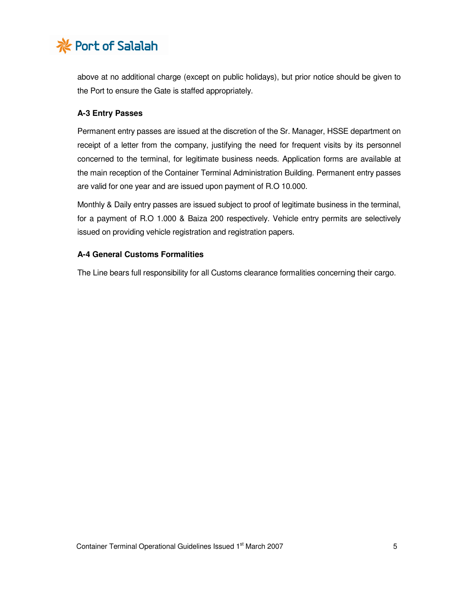

above at no additional charge (except on public holidays), but prior notice should be given to the Port to ensure the Gate is staffed appropriately.

## **A-3 Entry Passes**

Permanent entry passes are issued at the discretion of the Sr. Manager, HSSE department on receipt of a letter from the company, justifying the need for frequent visits by its personnel concerned to the terminal, for legitimate business needs. Application forms are available at the main reception of the Container Terminal Administration Building. Permanent entry passes are valid for one year and are issued upon payment of R.O 10.000.

Monthly & Daily entry passes are issued subject to proof of legitimate business in the terminal, for a payment of R.O 1.000 & Baiza 200 respectively. Vehicle entry permits are selectively issued on providing vehicle registration and registration papers.

## **A-4 General Customs Formalities**

The Line bears full responsibility for all Customs clearance formalities concerning their cargo.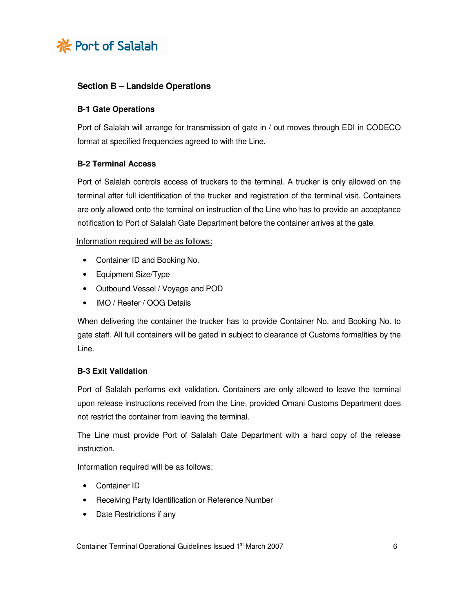

## **Section B – Landside Operations**

## **B-1 Gate Operations**

Port of Salalah will arrange for transmission of gate in / out moves through EDI in CODECO format at specified frequencies agreed to with the Line.

## **B-2 Terminal Access**

Port of Salalah controls access of truckers to the terminal. A trucker is only allowed on the terminal after full identification of the trucker and registration of the terminal visit. Containers are only allowed onto the terminal on instruction of the Line who has to provide an acceptance notification to Port of Salalah Gate Department before the container arrives at the gate.

Information required will be as follows:

- Container ID and Booking No.
- Equipment Size/Type
- Outbound Vessel / Voyage and POD
- IMO / Reefer / OOG Details

When delivering the container the trucker has to provide Container No. and Booking No. to gate staff. All full containers will be gated in subject to clearance of Customs formalities by the Line.

## **B-3 Exit Validation**

Port of Salalah performs exit validation. Containers are only allowed to leave the terminal upon release instructions received from the Line, provided Omani Customs Department does not restrict the container from leaving the terminal.

The Line must provide Port of Salalah Gate Department with a hard copy of the release instruction.

Information required will be as follows:

- Container ID
- Receiving Party Identification or Reference Number
- Date Restrictions if any

Container Terminal Operational Guidelines Issued 1st March 2007 6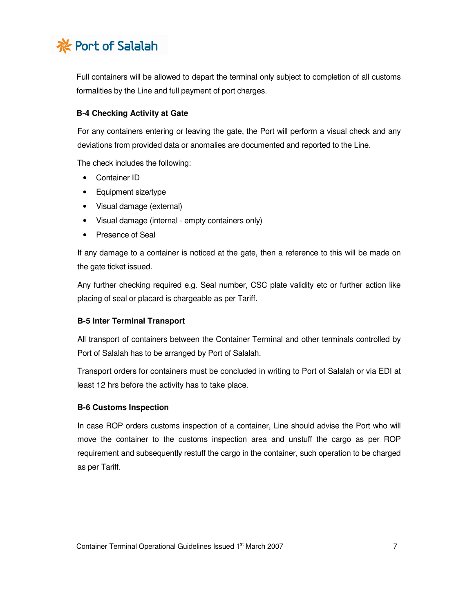

Full containers will be allowed to depart the terminal only subject to completion of all customs formalities by the Line and full payment of port charges.

## **B-4 Checking Activity at Gate**

For any containers entering or leaving the gate, the Port will perform a visual check and any deviations from provided data or anomalies are documented and reported to the Line.

The check includes the following:

- Container ID
- Equipment size/type
- Visual damage (external)
- Visual damage (internal empty containers only)
- Presence of Seal

If any damage to a container is noticed at the gate, then a reference to this will be made on the gate ticket issued.

Any further checking required e.g. Seal number, CSC plate validity etc or further action like placing of seal or placard is chargeable as per Tariff.

## **B-5 Inter Terminal Transport**

All transport of containers between the Container Terminal and other terminals controlled by Port of Salalah has to be arranged by Port of Salalah.

Transport orders for containers must be concluded in writing to Port of Salalah or via EDI at least 12 hrs before the activity has to take place.

## **B-6 Customs Inspection**

In case ROP orders customs inspection of a container, Line should advise the Port who will move the container to the customs inspection area and unstuff the cargo as per ROP requirement and subsequently restuff the cargo in the container, such operation to be charged as per Tariff.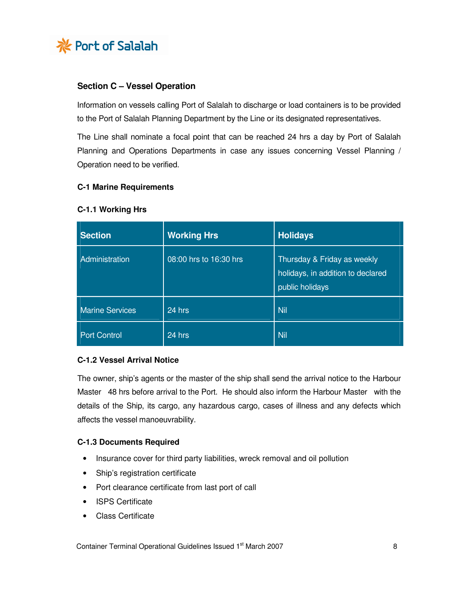

## **Section C – Vessel Operation**

Information on vessels calling Port of Salalah to discharge or load containers is to be provided to the Port of Salalah Planning Department by the Line or its designated representatives.

The Line shall nominate a focal point that can be reached 24 hrs a day by Port of Salalah Planning and Operations Departments in case any issues concerning Vessel Planning / Operation need to be verified.

## **C-1 Marine Requirements**

| <b>Section</b>         | <b>Working Hrs</b>     | <b>Holidays</b>                                                                     |
|------------------------|------------------------|-------------------------------------------------------------------------------------|
| Administration         | 08:00 hrs to 16:30 hrs | Thursday & Friday as weekly<br>holidays, in addition to declared<br>public holidays |
| <b>Marine Services</b> | 24 hrs                 | Nil                                                                                 |
| <b>Port Control</b>    | 24 hrs                 | Nil                                                                                 |

#### **C-1.1 Working Hrs**

## **C-1.2 Vessel Arrival Notice**

The owner, ship's agents or the master of the ship shall send the arrival notice to the Harbour Master 48 hrs before arrival to the Port. He should also inform the Harbour Master with the details of the Ship, its cargo, any hazardous cargo, cases of illness and any defects which affects the vessel manoeuvrability.

## **C-1.3 Documents Required**

- Insurance cover for third party liabilities, wreck removal and oil pollution
- Ship's registration certificate
- Port clearance certificate from last port of call
- ISPS Certificate
- Class Certificate

Container Terminal Operational Guidelines Issued 1<sup>st</sup> March 2007 88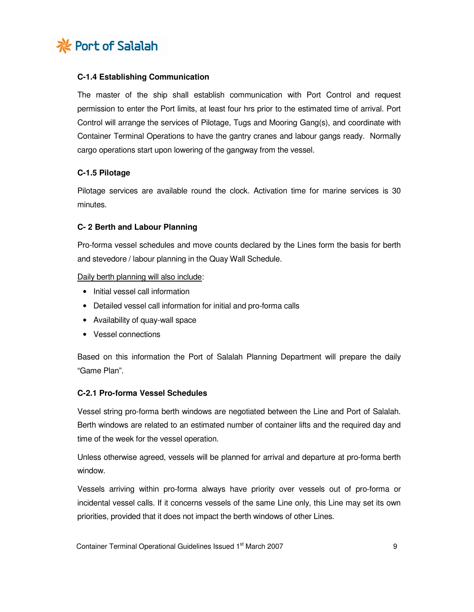

## **C-1.4 Establishing Communication**

The master of the ship shall establish communication with Port Control and request permission to enter the Port limits, at least four hrs prior to the estimated time of arrival. Port Control will arrange the services of Pilotage, Tugs and Mooring Gang(s), and coordinate with Container Terminal Operations to have the gantry cranes and labour gangs ready. Normally cargo operations start upon lowering of the gangway from the vessel.

## **C-1.5 Pilotage**

Pilotage services are available round the clock. Activation time for marine services is 30 minutes.

## **C- 2 Berth and Labour Planning**

Pro-forma vessel schedules and move counts declared by the Lines form the basis for berth and stevedore / labour planning in the Quay Wall Schedule.

Daily berth planning will also include:

- Initial vessel call information
- Detailed vessel call information for initial and pro-forma calls
- Availability of quay-wall space
- Vessel connections

Based on this information the Port of Salalah Planning Department will prepare the daily "Game Plan".

## **C-2.1 Pro-forma Vessel Schedules**

Vessel string pro-forma berth windows are negotiated between the Line and Port of Salalah. Berth windows are related to an estimated number of container lifts and the required day and time of the week for the vessel operation.

Unless otherwise agreed, vessels will be planned for arrival and departure at pro-forma berth window.

Vessels arriving within pro-forma always have priority over vessels out of pro-forma or incidental vessel calls. If it concerns vessels of the same Line only, this Line may set its own priorities, provided that it does not impact the berth windows of other Lines.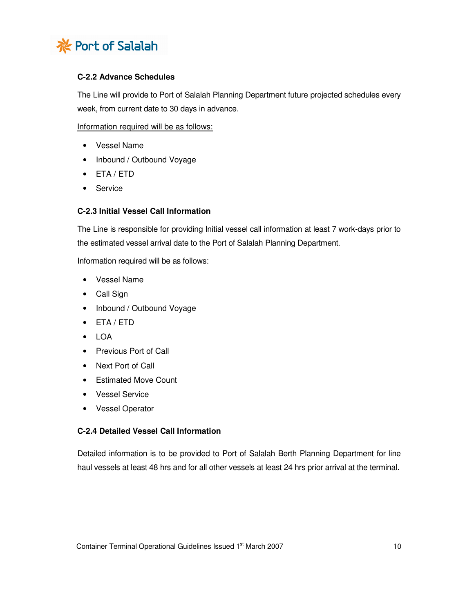

# **C-2.2 Advance Schedules**

The Line will provide to Port of Salalah Planning Department future projected schedules every week, from current date to 30 days in advance.

Information required will be as follows:

- Vessel Name
- Inbound / Outbound Voyage
- ETA / ETD
- Service

## **C-2.3 Initial Vessel Call Information**

The Line is responsible for providing Initial vessel call information at least 7 work-days prior to the estimated vessel arrival date to the Port of Salalah Planning Department.

## Information required will be as follows:

- Vessel Name
- Call Sign
- Inbound / Outbound Voyage
- ETA / ETD
- LOA
- Previous Port of Call
- Next Port of Call
- Estimated Move Count
- Vessel Service
- Vessel Operator

## **C-2.4 Detailed Vessel Call Information**

Detailed information is to be provided to Port of Salalah Berth Planning Department for line haul vessels at least 48 hrs and for all other vessels at least 24 hrs prior arrival at the terminal.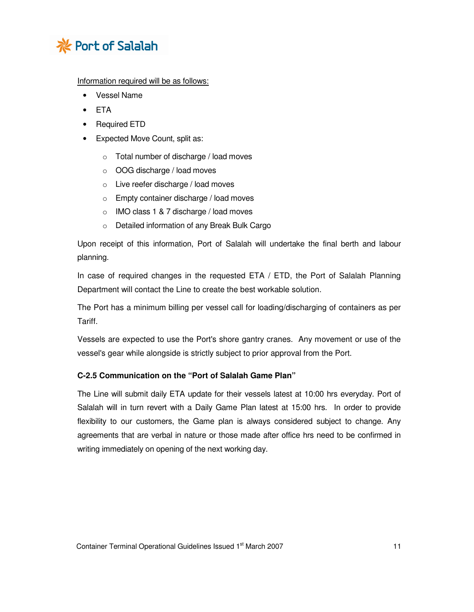

Information required will be as follows:

- Vessel Name
- ETA
- Required ETD
- Expected Move Count, split as:
	- o Total number of discharge / load moves
	- o OOG discharge / load moves
	- o Live reefer discharge / load moves
	- o Empty container discharge / load moves
	- o IMO class 1 & 7 discharge / load moves
	- o Detailed information of any Break Bulk Cargo

Upon receipt of this information, Port of Salalah will undertake the final berth and labour planning.

In case of required changes in the requested ETA / ETD, the Port of Salalah Planning Department will contact the Line to create the best workable solution.

The Port has a minimum billing per vessel call for loading/discharging of containers as per Tariff.

Vessels are expected to use the Port's shore gantry cranes. Any movement or use of the vessel's gear while alongside is strictly subject to prior approval from the Port.

# **C-2.5 Communication on the "Port of Salalah Game Plan"**

The Line will submit daily ETA update for their vessels latest at 10:00 hrs everyday. Port of Salalah will in turn revert with a Daily Game Plan latest at 15:00 hrs. In order to provide flexibility to our customers, the Game plan is always considered subject to change. Any agreements that are verbal in nature or those made after office hrs need to be confirmed in writing immediately on opening of the next working day.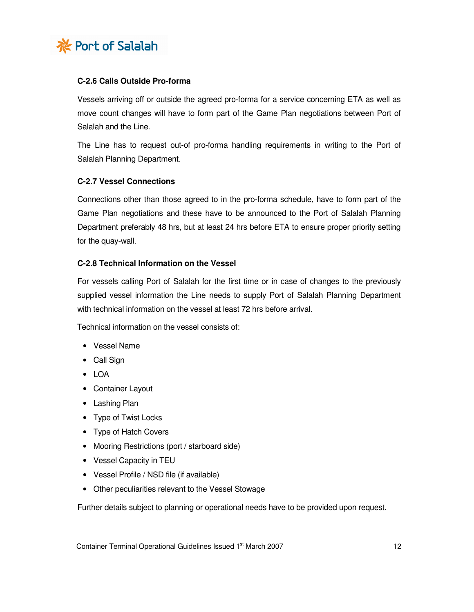

## **C-2.6 Calls Outside Pro-forma**

Vessels arriving off or outside the agreed pro-forma for a service concerning ETA as well as move count changes will have to form part of the Game Plan negotiations between Port of Salalah and the Line.

The Line has to request out-of pro-forma handling requirements in writing to the Port of Salalah Planning Department.

## **C-2.7 Vessel Connections**

Connections other than those agreed to in the pro-forma schedule, have to form part of the Game Plan negotiations and these have to be announced to the Port of Salalah Planning Department preferably 48 hrs, but at least 24 hrs before ETA to ensure proper priority setting for the quay-wall.

## **C-2.8 Technical Information on the Vessel**

For vessels calling Port of Salalah for the first time or in case of changes to the previously supplied vessel information the Line needs to supply Port of Salalah Planning Department with technical information on the vessel at least 72 hrs before arrival.

## Technical information on the vessel consists of:

- Vessel Name
- Call Sign
- LOA
- Container Layout
- Lashing Plan
- Type of Twist Locks
- Type of Hatch Covers
- Mooring Restrictions (port / starboard side)
- Vessel Capacity in TEU
- Vessel Profile / NSD file (if available)
- Other peculiarities relevant to the Vessel Stowage

Further details subject to planning or operational needs have to be provided upon request.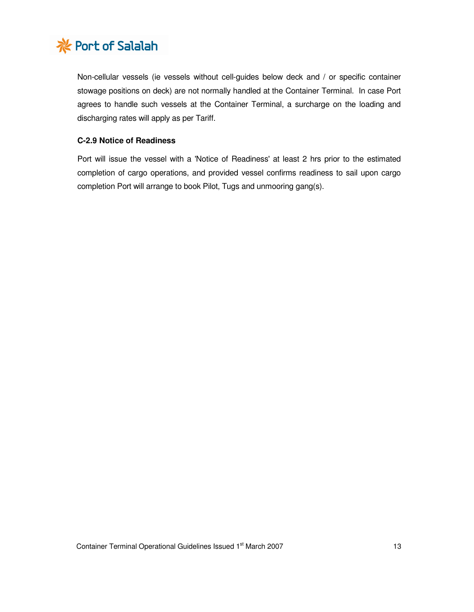

Non-cellular vessels (ie vessels without cell-guides below deck and / or specific container stowage positions on deck) are not normally handled at the Container Terminal. In case Port agrees to handle such vessels at the Container Terminal, a surcharge on the loading and discharging rates will apply as per Tariff.

## **C-2.9 Notice of Readiness**

Port will issue the vessel with a 'Notice of Readiness' at least 2 hrs prior to the estimated completion of cargo operations, and provided vessel confirms readiness to sail upon cargo completion Port will arrange to book Pilot, Tugs and unmooring gang(s).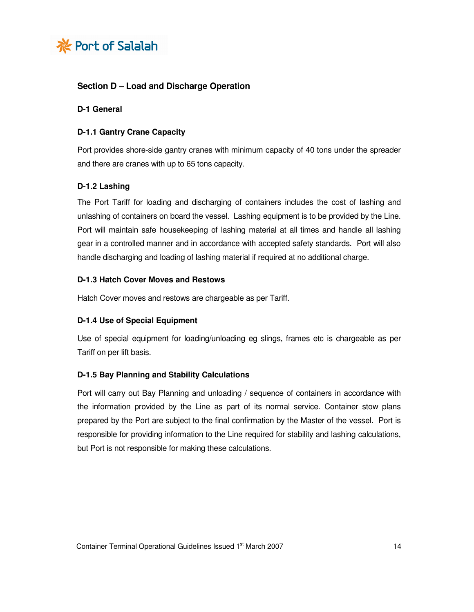

# **Section D – Load and Discharge Operation**

#### **D-1 General**

## **D-1.1 Gantry Crane Capacity**

Port provides shore-side gantry cranes with minimum capacity of 40 tons under the spreader and there are cranes with up to 65 tons capacity.

## **D-1.2 Lashing**

The Port Tariff for loading and discharging of containers includes the cost of lashing and unlashing of containers on board the vessel. Lashing equipment is to be provided by the Line. Port will maintain safe housekeeping of lashing material at all times and handle all lashing gear in a controlled manner and in accordance with accepted safety standards. Port will also handle discharging and loading of lashing material if required at no additional charge.

## **D-1.3 Hatch Cover Moves and Restows**

Hatch Cover moves and restows are chargeable as per Tariff.

## **D-1.4 Use of Special Equipment**

Use of special equipment for loading/unloading eg slings, frames etc is chargeable as per Tariff on per lift basis.

## **D-1.5 Bay Planning and Stability Calculations**

Port will carry out Bay Planning and unloading / sequence of containers in accordance with the information provided by the Line as part of its normal service. Container stow plans prepared by the Port are subject to the final confirmation by the Master of the vessel. Port is responsible for providing information to the Line required for stability and lashing calculations, but Port is not responsible for making these calculations.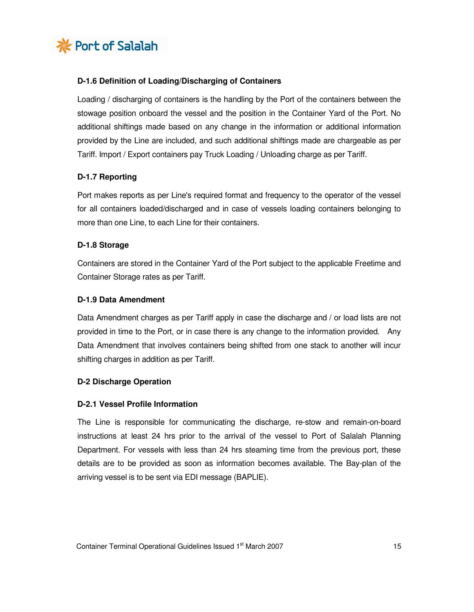

## **D-1.6 Definition of Loading/Discharging of Containers**

Loading / discharging of containers is the handling by the Port of the containers between the stowage position onboard the vessel and the position in the Container Yard of the Port. No additional shiftings made based on any change in the information or additional information provided by the Line are included, and such additional shiftings made are chargeable as per Tariff. Import / Export containers pay Truck Loading / Unloading charge as per Tariff.

## **D-1.7 Reporting**

Port makes reports as per Line's required format and frequency to the operator of the vessel for all containers loaded/discharged and in case of vessels loading containers belonging to more than one Line, to each Line for their containers.

## **D-1.8 Storage**

Containers are stored in the Container Yard of the Port subject to the applicable Freetime and Container Storage rates as per Tariff.

## **D-1.9 Data Amendment**

Data Amendment charges as per Tariff apply in case the discharge and / or load lists are not provided in time to the Port, or in case there is any change to the information provided. Any Data Amendment that involves containers being shifted from one stack to another will incur shifting charges in addition as per Tariff.

## **D-2 Discharge Operation**

## **D-2.1 Vessel Profile Information**

The Line is responsible for communicating the discharge, re-stow and remain-on-board instructions at least 24 hrs prior to the arrival of the vessel to Port of Salalah Planning Department. For vessels with less than 24 hrs steaming time from the previous port, these details are to be provided as soon as information becomes available. The Bay-plan of the arriving vessel is to be sent via EDI message (BAPLIE).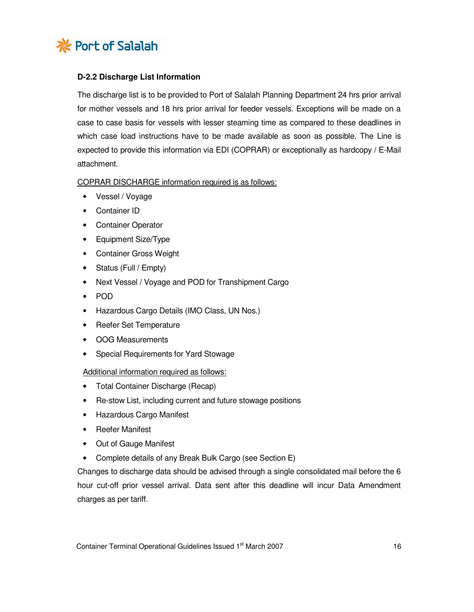

## **D-2.2 Discharge List Information**

The discharge list is to be provided to Port of Salalah Planning Department 24 hrs prior arrival for mother vessels and 18 hrs prior arrival for feeder vessels. Exceptions will be made on a case to case basis for vessels with lesser steaming time as compared to these deadlines in which case load instructions have to be made available as soon as possible. The Line is expected to provide this information via EDI (COPRAR) or exceptionally as hardcopy / E-Mail attachment.

#### COPRAR DISCHARGE information required is as follows:

- Vessel / Voyage
- Container ID
- Container Operator
- Equipment Size/Type
- Container Gross Weight
- Status (Full / Empty)
- Next Vessel / Voyage and POD for Transhipment Cargo
- POD
- Hazardous Cargo Details (IMO Class, UN Nos.)
- Reefer Set Temperature
- OOG Measurements
- Special Requirements for Yard Stowage

## Additional information required as follows:

- Total Container Discharge (Recap)
- Re-stow List, including current and future stowage positions
- Hazardous Cargo Manifest
- Reefer Manifest
- Out of Gauge Manifest
- Complete details of any Break Bulk Cargo (see Section E)

Changes to discharge data should be advised through a single consolidated mail before the 6 hour cut-off prior vessel arrival. Data sent after this deadline will incur Data Amendment charges as per tariff.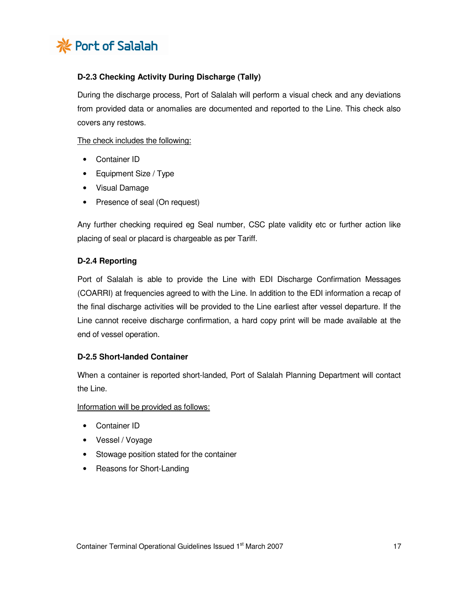

# **D-2.3 Checking Activity During Discharge (Tally)**

During the discharge process, Port of Salalah will perform a visual check and any deviations from provided data or anomalies are documented and reported to the Line. This check also covers any restows.

The check includes the following:

- Container ID
- Equipment Size / Type
- Visual Damage
- Presence of seal (On request)

Any further checking required eg Seal number, CSC plate validity etc or further action like placing of seal or placard is chargeable as per Tariff.

## **D-2.4 Reporting**

Port of Salalah is able to provide the Line with EDI Discharge Confirmation Messages (COARRI) at frequencies agreed to with the Line. In addition to the EDI information a recap of the final discharge activities will be provided to the Line earliest after vessel departure. If the Line cannot receive discharge confirmation, a hard copy print will be made available at the end of vessel operation.

## **D-2.5 Short-landed Container**

When a container is reported short-landed, Port of Salalah Planning Department will contact the Line.

Information will be provided as follows:

- Container ID
- Vessel / Voyage
- Stowage position stated for the container
- Reasons for Short-Landing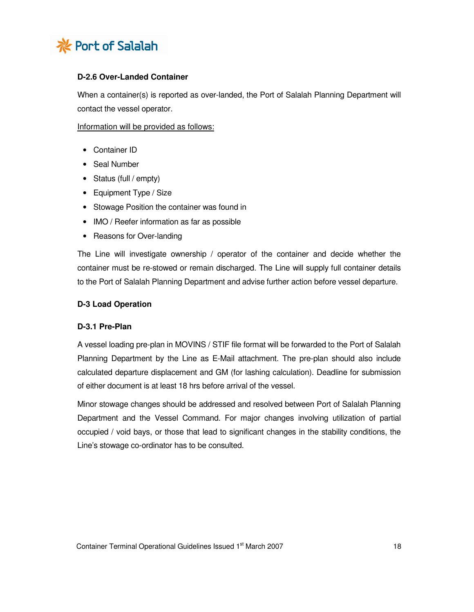

## **D-2.6 Over-Landed Container**

When a container(s) is reported as over-landed, the Port of Salalah Planning Department will contact the vessel operator.

Information will be provided as follows:

- Container ID
- Seal Number
- Status (full / empty)
- Equipment Type / Size
- Stowage Position the container was found in
- IMO / Reefer information as far as possible
- Reasons for Over-landing

The Line will investigate ownership / operator of the container and decide whether the container must be re-stowed or remain discharged. The Line will supply full container details to the Port of Salalah Planning Department and advise further action before vessel departure.

#### **D-3 Load Operation**

#### **D-3.1 Pre-Plan**

A vessel loading pre-plan in MOVINS / STIF file format will be forwarded to the Port of Salalah Planning Department by the Line as E-Mail attachment. The pre-plan should also include calculated departure displacement and GM (for lashing calculation). Deadline for submission of either document is at least 18 hrs before arrival of the vessel.

Minor stowage changes should be addressed and resolved between Port of Salalah Planning Department and the Vessel Command. For major changes involving utilization of partial occupied / void bays, or those that lead to significant changes in the stability conditions, the Line's stowage co-ordinator has to be consulted.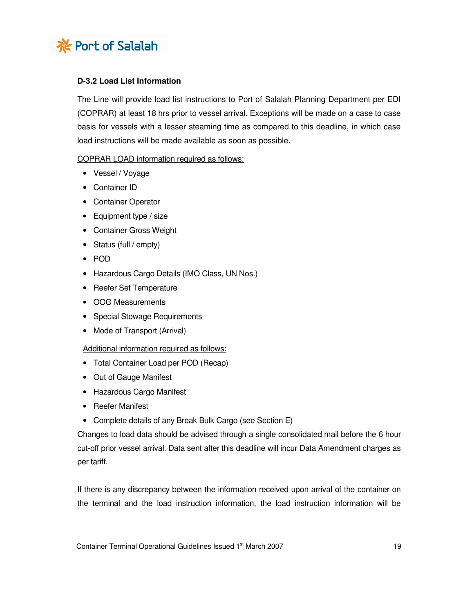

## **D-3.2 Load List Information**

The Line will provide load list instructions to Port of Salalah Planning Department per EDI (COPRAR) at least 18 hrs prior to vessel arrival. Exceptions will be made on a case to case basis for vessels with a lesser steaming time as compared to this deadline, in which case load instructions will be made available as soon as possible.

## COPRAR LOAD information required as follows:

- Vessel / Voyage
- Container ID
- Container Operator
- Equipment type / size
- Container Gross Weight
- Status (full / empty)
- POD
- Hazardous Cargo Details (IMO Class, UN Nos.)
- Reefer Set Temperature
- OOG Measurements
- Special Stowage Requirements
- Mode of Transport (Arrival)

#### Additional information required as follows:

- Total Container Load per POD (Recap)
- Out of Gauge Manifest
- Hazardous Cargo Manifest
- Reefer Manifest
- Complete details of any Break Bulk Cargo (see Section E)

Changes to load data should be advised through a single consolidated mail before the 6 hour cut-off prior vessel arrival. Data sent after this deadline will incur Data Amendment charges as per tariff.

If there is any discrepancy between the information received upon arrival of the container on the terminal and the load instruction information, the load instruction information will be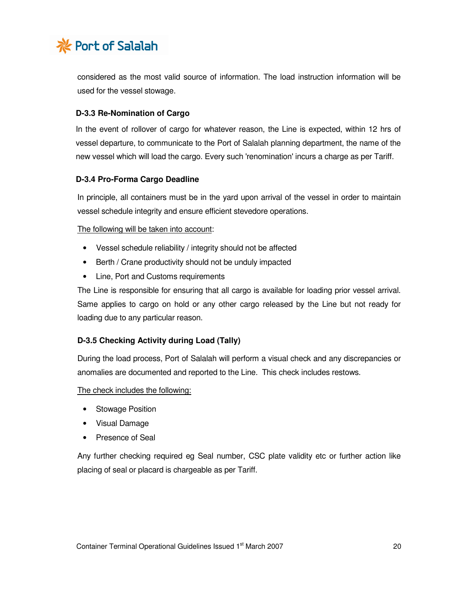

considered as the most valid source of information. The load instruction information will be used for the vessel stowage.

## **D-3.3 Re-Nomination of Cargo**

In the event of rollover of cargo for whatever reason, the Line is expected, within 12 hrs of vessel departure, to communicate to the Port of Salalah planning department, the name of the new vessel which will load the cargo. Every such 'renomination' incurs a charge as per Tariff.

## **D-3.4 Pro-Forma Cargo Deadline**

In principle, all containers must be in the yard upon arrival of the vessel in order to maintain vessel schedule integrity and ensure efficient stevedore operations.

The following will be taken into account:

- Vessel schedule reliability / integrity should not be affected
- Berth / Crane productivity should not be unduly impacted
- Line, Port and Customs requirements

The Line is responsible for ensuring that all cargo is available for loading prior vessel arrival. Same applies to cargo on hold or any other cargo released by the Line but not ready for loading due to any particular reason.

# **D-3.5 Checking Activity during Load (Tally)**

During the load process, Port of Salalah will perform a visual check and any discrepancies or anomalies are documented and reported to the Line. This check includes restows.

The check includes the following:

- Stowage Position
- Visual Damage
- Presence of Seal

Any further checking required eg Seal number, CSC plate validity etc or further action like placing of seal or placard is chargeable as per Tariff.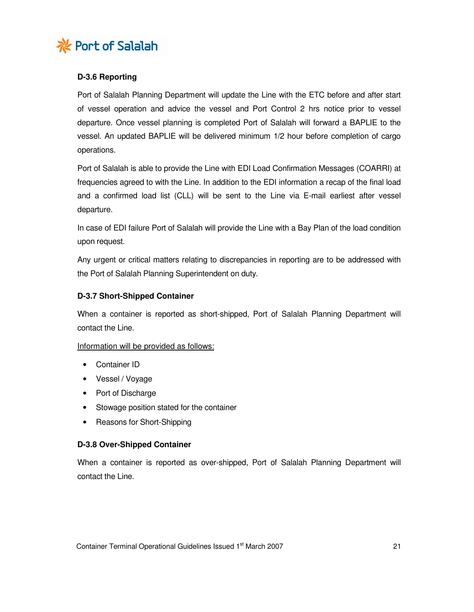

# **D-3.6 Reporting**

Port of Salalah Planning Department will update the Line with the ETC before and after start of vessel operation and advice the vessel and Port Control 2 hrs notice prior to vessel departure. Once vessel planning is completed Port of Salalah will forward a BAPLIE to the vessel. An updated BAPLIE will be delivered minimum 1/2 hour before completion of cargo operations.

Port of Salalah is able to provide the Line with EDI Load Confirmation Messages (COARRI) at frequencies agreed to with the Line. In addition to the EDI information a recap of the final load and a confirmed load list (CLL) will be sent to the Line via E-mail earliest after vessel departure.

In case of EDI failure Port of Salalah will provide the Line with a Bay Plan of the load condition upon request.

Any urgent or critical matters relating to discrepancies in reporting are to be addressed with the Port of Salalah Planning Superintendent on duty.

## **D-3.7 Short-Shipped Container**

When a container is reported as short-shipped, Port of Salalah Planning Department will contact the Line.

## Information will be provided as follows:

- Container ID
- Vessel / Voyage
- Port of Discharge
- Stowage position stated for the container
- Reasons for Short-Shipping

## **D-3.8 Over-Shipped Container**

When a container is reported as over-shipped, Port of Salalah Planning Department will contact the Line.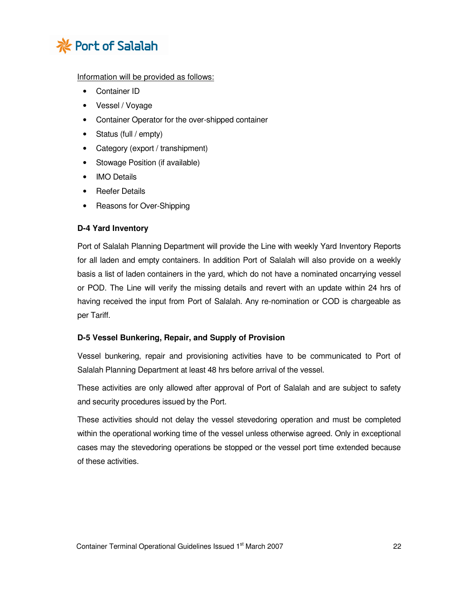

## Information will be provided as follows:

- Container ID
- Vessel / Voyage
- Container Operator for the over-shipped container
- Status (full / empty)
- Category (export / transhipment)
- Stowage Position (if available)
- IMO Details
- Reefer Details
- Reasons for Over-Shipping

## **D-4 Yard Inventory**

Port of Salalah Planning Department will provide the Line with weekly Yard Inventory Reports for all laden and empty containers. In addition Port of Salalah will also provide on a weekly basis a list of laden containers in the yard, which do not have a nominated oncarrying vessel or POD. The Line will verify the missing details and revert with an update within 24 hrs of having received the input from Port of Salalah. Any re-nomination or COD is chargeable as per Tariff.

## **D-5 Vessel Bunkering, Repair, and Supply of Provision**

Vessel bunkering, repair and provisioning activities have to be communicated to Port of Salalah Planning Department at least 48 hrs before arrival of the vessel.

These activities are only allowed after approval of Port of Salalah and are subject to safety and security procedures issued by the Port.

These activities should not delay the vessel stevedoring operation and must be completed within the operational working time of the vessel unless otherwise agreed. Only in exceptional cases may the stevedoring operations be stopped or the vessel port time extended because of these activities.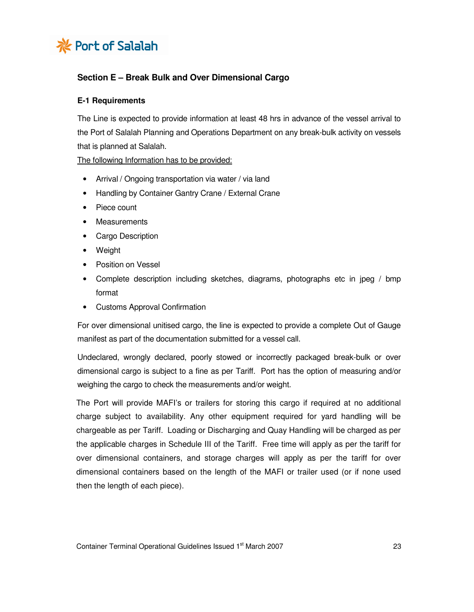

# **Section E – Break Bulk and Over Dimensional Cargo**

## **E-1 Requirements**

The Line is expected to provide information at least 48 hrs in advance of the vessel arrival to the Port of Salalah Planning and Operations Department on any break-bulk activity on vessels that is planned at Salalah.

The following Information has to be provided:

- Arrival / Ongoing transportation via water / via land
- Handling by Container Gantry Crane / External Crane
- Piece count
- Measurements
- Cargo Description
- Weight
- Position on Vessel
- Complete description including sketches, diagrams, photographs etc in jpeg / bmp format
- Customs Approval Confirmation

For over dimensional unitised cargo, the line is expected to provide a complete Out of Gauge manifest as part of the documentation submitted for a vessel call.

Undeclared, wrongly declared, poorly stowed or incorrectly packaged break-bulk or over dimensional cargo is subject to a fine as per Tariff. Port has the option of measuring and/or weighing the cargo to check the measurements and/or weight.

 The Port will provide MAFI's or trailers for storing this cargo if required at no additional charge subject to availability. Any other equipment required for yard handling will be chargeable as per Tariff. Loading or Discharging and Quay Handling will be charged as per the applicable charges in Schedule III of the Tariff. Free time will apply as per the tariff for over dimensional containers, and storage charges will apply as per the tariff for over dimensional containers based on the length of the MAFI or trailer used (or if none used then the length of each piece).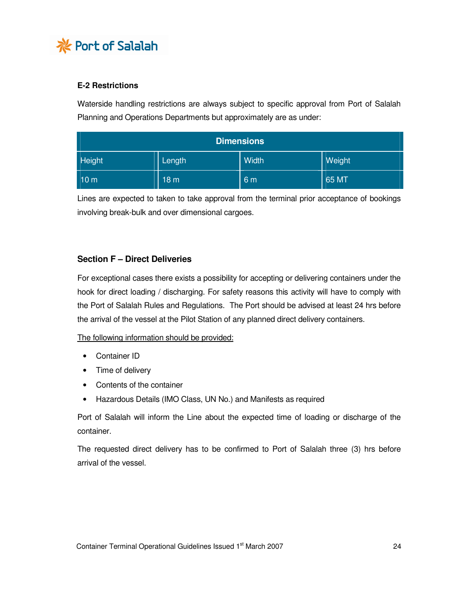

# **E-2 Restrictions**

Waterside handling restrictions are always subject to specific approval from Port of Salalah Planning and Operations Departments but approximately are as under:

| <b>Dimensions</b> |                 |       |        |  |  |
|-------------------|-----------------|-------|--------|--|--|
| Height            | Length          | Width | Weight |  |  |
| 10 <sub>m</sub>   | 18 <sub>m</sub> | 6 m   | 65 MT  |  |  |

Lines are expected to taken to take approval from the terminal prior acceptance of bookings involving break-bulk and over dimensional cargoes.

# **Section F – Direct Deliveries**

For exceptional cases there exists a possibility for accepting or delivering containers under the hook for direct loading / discharging. For safety reasons this activity will have to comply with the Port of Salalah Rules and Regulations. The Port should be advised at least 24 hrs before the arrival of the vessel at the Pilot Station of any planned direct delivery containers.

The following information should be provided:

- Container ID
- Time of delivery
- Contents of the container
- Hazardous Details (IMO Class, UN No.) and Manifests as required

Port of Salalah will inform the Line about the expected time of loading or discharge of the container.

The requested direct delivery has to be confirmed to Port of Salalah three (3) hrs before arrival of the vessel.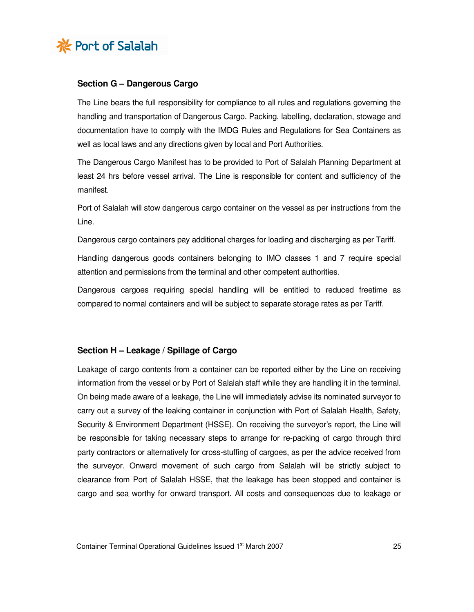

## **Section G – Dangerous Cargo**

The Line bears the full responsibility for compliance to all rules and regulations governing the handling and transportation of Dangerous Cargo. Packing, labelling, declaration, stowage and documentation have to comply with the IMDG Rules and Regulations for Sea Containers as well as local laws and any directions given by local and Port Authorities.

The Dangerous Cargo Manifest has to be provided to Port of Salalah Planning Department at least 24 hrs before vessel arrival. The Line is responsible for content and sufficiency of the manifest.

Port of Salalah will stow dangerous cargo container on the vessel as per instructions from the Line.

Dangerous cargo containers pay additional charges for loading and discharging as per Tariff.

Handling dangerous goods containers belonging to IMO classes 1 and 7 require special attention and permissions from the terminal and other competent authorities.

Dangerous cargoes requiring special handling will be entitled to reduced freetime as compared to normal containers and will be subject to separate storage rates as per Tariff.

#### **Section H – Leakage / Spillage of Cargo**

Leakage of cargo contents from a container can be reported either by the Line on receiving information from the vessel or by Port of Salalah staff while they are handling it in the terminal. On being made aware of a leakage, the Line will immediately advise its nominated surveyor to carry out a survey of the leaking container in conjunction with Port of Salalah Health, Safety, Security & Environment Department (HSSE). On receiving the surveyor's report, the Line will be responsible for taking necessary steps to arrange for re-packing of cargo through third party contractors or alternatively for cross-stuffing of cargoes, as per the advice received from the surveyor. Onward movement of such cargo from Salalah will be strictly subject to clearance from Port of Salalah HSSE, that the leakage has been stopped and container is cargo and sea worthy for onward transport. All costs and consequences due to leakage or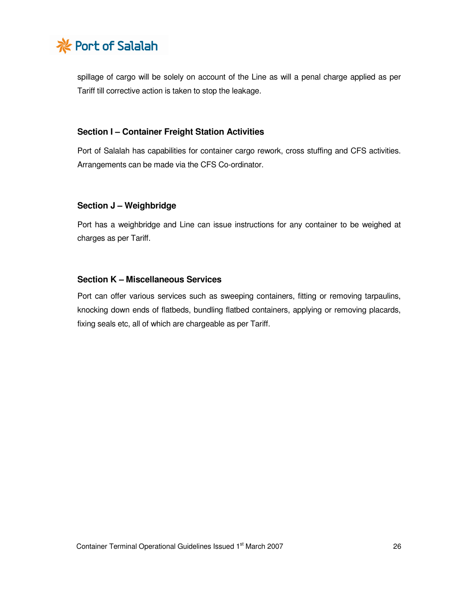

spillage of cargo will be solely on account of the Line as will a penal charge applied as per Tariff till corrective action is taken to stop the leakage.

## **Section I – Container Freight Station Activities**

Port of Salalah has capabilities for container cargo rework, cross stuffing and CFS activities. Arrangements can be made via the CFS Co-ordinator.

## **Section J – Weighbridge**

Port has a weighbridge and Line can issue instructions for any container to be weighed at charges as per Tariff.

## **Section K – Miscellaneous Services**

Port can offer various services such as sweeping containers, fitting or removing tarpaulins, knocking down ends of flatbeds, bundling flatbed containers, applying or removing placards, fixing seals etc, all of which are chargeable as per Tariff.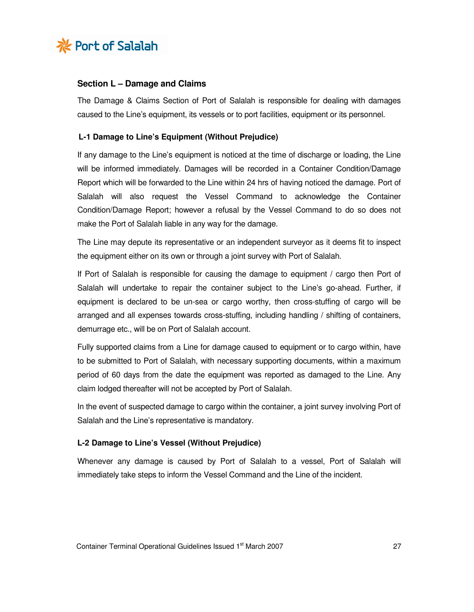

## **Section L – Damage and Claims**

The Damage & Claims Section of Port of Salalah is responsible for dealing with damages caused to the Line's equipment, its vessels or to port facilities, equipment or its personnel.

#### **L-1 Damage to Line's Equipment (Without Prejudice)**

If any damage to the Line's equipment is noticed at the time of discharge or loading, the Line will be informed immediately. Damages will be recorded in a Container Condition/Damage Report which will be forwarded to the Line within 24 hrs of having noticed the damage. Port of Salalah will also request the Vessel Command to acknowledge the Container Condition/Damage Report; however a refusal by the Vessel Command to do so does not make the Port of Salalah liable in any way for the damage.

The Line may depute its representative or an independent surveyor as it deems fit to inspect the equipment either on its own or through a joint survey with Port of Salalah.

If Port of Salalah is responsible for causing the damage to equipment / cargo then Port of Salalah will undertake to repair the container subject to the Line's go-ahead. Further, if equipment is declared to be un-sea or cargo worthy, then cross-stuffing of cargo will be arranged and all expenses towards cross-stuffing, including handling / shifting of containers, demurrage etc., will be on Port of Salalah account.

Fully supported claims from a Line for damage caused to equipment or to cargo within, have to be submitted to Port of Salalah, with necessary supporting documents, within a maximum period of 60 days from the date the equipment was reported as damaged to the Line. Any claim lodged thereafter will not be accepted by Port of Salalah.

In the event of suspected damage to cargo within the container, a joint survey involving Port of Salalah and the Line's representative is mandatory.

#### **L-2 Damage to Line's Vessel (Without Prejudice)**

Whenever any damage is caused by Port of Salalah to a vessel, Port of Salalah will immediately take steps to inform the Vessel Command and the Line of the incident.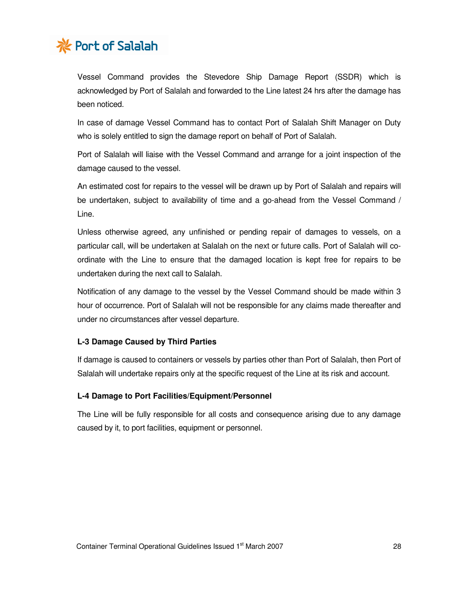

Vessel Command provides the Stevedore Ship Damage Report (SSDR) which is acknowledged by Port of Salalah and forwarded to the Line latest 24 hrs after the damage has been noticed.

In case of damage Vessel Command has to contact Port of Salalah Shift Manager on Duty who is solely entitled to sign the damage report on behalf of Port of Salalah.

Port of Salalah will liaise with the Vessel Command and arrange for a joint inspection of the damage caused to the vessel.

An estimated cost for repairs to the vessel will be drawn up by Port of Salalah and repairs will be undertaken, subject to availability of time and a go-ahead from the Vessel Command / Line.

Unless otherwise agreed, any unfinished or pending repair of damages to vessels, on a particular call, will be undertaken at Salalah on the next or future calls. Port of Salalah will coordinate with the Line to ensure that the damaged location is kept free for repairs to be undertaken during the next call to Salalah.

Notification of any damage to the vessel by the Vessel Command should be made within 3 hour of occurrence. Port of Salalah will not be responsible for any claims made thereafter and under no circumstances after vessel departure.

## **L-3 Damage Caused by Third Parties**

If damage is caused to containers or vessels by parties other than Port of Salalah, then Port of Salalah will undertake repairs only at the specific request of the Line at its risk and account.

## **L-4 Damage to Port Facilities/Equipment/Personnel**

The Line will be fully responsible for all costs and consequence arising due to any damage caused by it, to port facilities, equipment or personnel.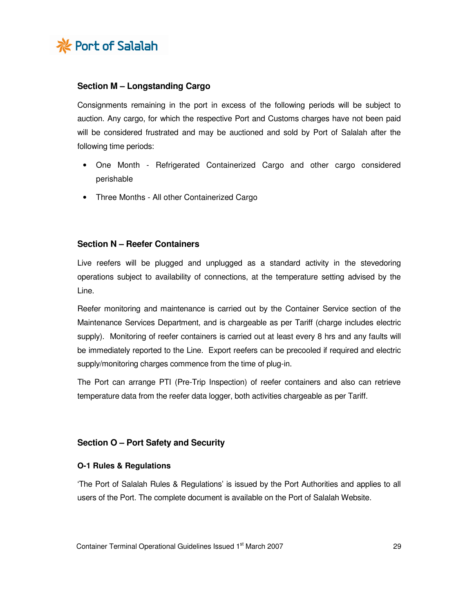

## **Section M – Longstanding Cargo**

Consignments remaining in the port in excess of the following periods will be subject to auction. Any cargo, for which the respective Port and Customs charges have not been paid will be considered frustrated and may be auctioned and sold by Port of Salalah after the following time periods:

- One Month Refrigerated Containerized Cargo and other cargo considered perishable
- Three Months All other Containerized Cargo

## **Section N – Reefer Containers**

Live reefers will be plugged and unplugged as a standard activity in the stevedoring operations subject to availability of connections, at the temperature setting advised by the Line.

Reefer monitoring and maintenance is carried out by the Container Service section of the Maintenance Services Department, and is chargeable as per Tariff (charge includes electric supply). Monitoring of reefer containers is carried out at least every 8 hrs and any faults will be immediately reported to the Line. Export reefers can be precooled if required and electric supply/monitoring charges commence from the time of plug-in.

The Port can arrange PTI (Pre-Trip Inspection) of reefer containers and also can retrieve temperature data from the reefer data logger, both activities chargeable as per Tariff.

## **Section O – Port Safety and Security**

## **O-1 Rules & Regulations**

'The Port of Salalah Rules & Regulations' is issued by the Port Authorities and applies to all users of the Port. The complete document is available on the Port of Salalah Website.